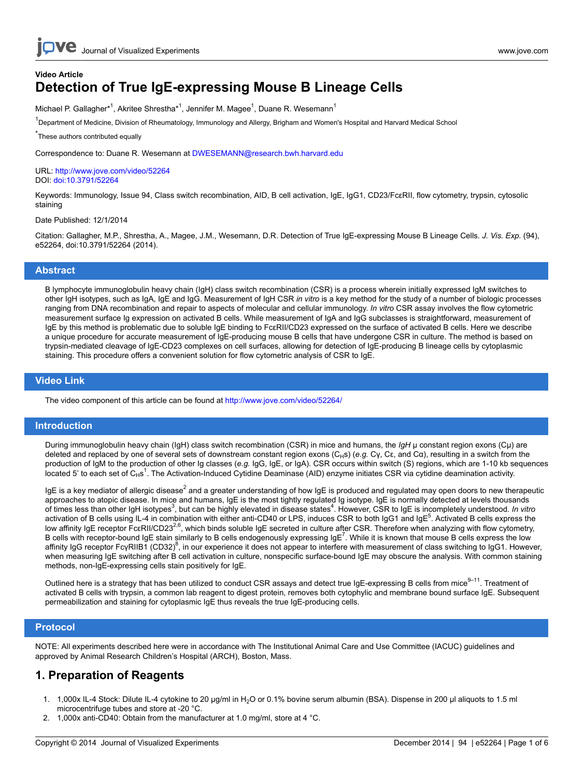## **Video Article Detection of True IgE-expressing Mouse B Lineage Cells**

Michael P. Gallagher\*<sup>1</sup>, Akritee Shrestha\*<sup>1</sup>, Jennifer M. Magee<sup>1</sup>, Duane R. Wesemann<sup>1</sup>

<sup>1</sup>Department of Medicine, Division of Rheumatology, Immunology and Allergy, Brigham and Women's Hospital and Harvard Medical School

\* These authors contributed equally

Correspondence to: Duane R. Wesemann at [DWESEMANN@research.bwh.harvard.edu](mailto:DWESEMANN@research.bwh.harvard.edu)

URL:<http://www.jove.com/video/52264> DOI: [doi:10.3791/52264](http://dx.doi.org/10.3791/52264)

Keywords: Immunology, Issue 94, Class switch recombination, AID, B cell activation, IgE, IgG1, CD23/FcERII, flow cytometry, trypsin, cytosolic staining

Date Published: 12/1/2014

Citation: Gallagher, M.P., Shrestha, A., Magee, J.M., Wesemann, D.R. Detection of True IgE-expressing Mouse B Lineage Cells. *J. Vis. Exp.* (94), e52264, doi:10.3791/52264 (2014).

#### **Abstract**

B lymphocyte immunoglobulin heavy chain (IgH) class switch recombination (CSR) is a process wherein initially expressed IgM switches to other IgH isotypes, such as IgA, IgE and IgG. Measurement of IgH CSR *in vitro* is a key method for the study of a number of biologic processes ranging from DNA recombination and repair to aspects of molecular and cellular immunology. *In vitro* CSR assay involves the flow cytometric measurement surface Ig expression on activated B cells. While measurement of IgA and IgG subclasses is straightforward, measurement of IgE by this method is problematic due to soluble IgE binding to FcεRII/CD23 expressed on the surface of activated B cells. Here we describe a unique procedure for accurate measurement of IgE-producing mouse B cells that have undergone CSR in culture. The method is based on trypsin-mediated cleavage of IgE-CD23 complexes on cell surfaces, allowing for detection of IgE-producing B lineage cells by cytoplasmic staining. This procedure offers a convenient solution for flow cytometric analysis of CSR to IgE.

### **Video Link**

The video component of this article can be found at <http://www.jove.com/video/52264/>

### **Introduction**

During immunoglobulin heavy chain (IgH) class switch recombination (CSR) in mice and humans, the *IgH* μ constant region exons (Cμ) are deleted and replaced by one of several sets of downstream constant region exons (C<sub>H</sub>s) (e.g. Cγ, Cε, and Cα), resulting in a switch from the production of IgM to the production of other Ig classes (*e.g.* IgG, IgE, or IgA). CSR occurs within switch (S) regions, which are 1-10 kb sequences located 5' to each set of C<sub>H</sub>s<sup>1</sup>. The Activation-Induced Cytidine Deaminase (AID) enzyme initiates CSR via cytidine deamination activity.

IgE is a key mediator of allergic disease<sup>2</sup> and a greater understanding of how IgE is produced and regulated may open doors to new therapeutic approaches to atopic disease. In mice and humans, IgE is the most tightly regulated Ig isotype. IgE is normally detected at levels thousands of times less than other IgH isotypes<sup>3</sup>, but can be highly elevated in disease states<sup>4</sup>. However, CSR to IgE is incompletely understood. In vitro activation of B cells using IL-4 in combination with either anti-CD40 or LPS, induces CSR to both IgG1 and IgE<sup>5</sup>. Activated B cells express the low affinity IgE receptor FcεRII/CD23<sup>2,6</sup>, which binds soluble IgE secreted in culture after CSR. Therefore when analyzing with flow cytometry, B cells with receptor-bound IgE stain similarly to B cells endogenously expressing IgE<sup>7</sup>. While it is known that mouse B cells express the low affinity IgG receptor FcγRIIB1 (CD32)<sup>8</sup>, in our experience it does not appear to interfere with measurement of class switching to IgG1. However, when measuring IgE switching after B cell activation in culture, nonspecific surface-bound IgE may obscure the analysis. With common staining methods, non-IgE-expressing cells stain positively for IgE.

Outlined here is a strategy that has been utilized to conduct CSR assays and detect true IgE-expressing B cells from mice<sup>9–11</sup>. Treatment of activated B cells with trypsin, a common lab reagent to digest protein, removes both cytophylic and membrane bound surface IgE. Subsequent permeabilization and staining for cytoplasmic IgE thus reveals the true IgE-producing cells.

#### **Protocol**

NOTE: All experiments described here were in accordance with The Institutional Animal Care and Use Committee (IACUC) guidelines and approved by Animal Research Children's Hospital (ARCH), Boston, Mass.

## **1. Preparation of Reagents**

- 1. 1,000x IL-4 Stock: Dilute IL-4 cytokine to 20 µg/ml in H2O or 0.1% bovine serum albumin (BSA). Dispense in 200 µl aliquots to 1.5 ml microcentrifuge tubes and store at -20 °C.
- 2. 1,000x anti-CD40: Obtain from the manufacturer at 1.0 mg/ml, store at 4 °C.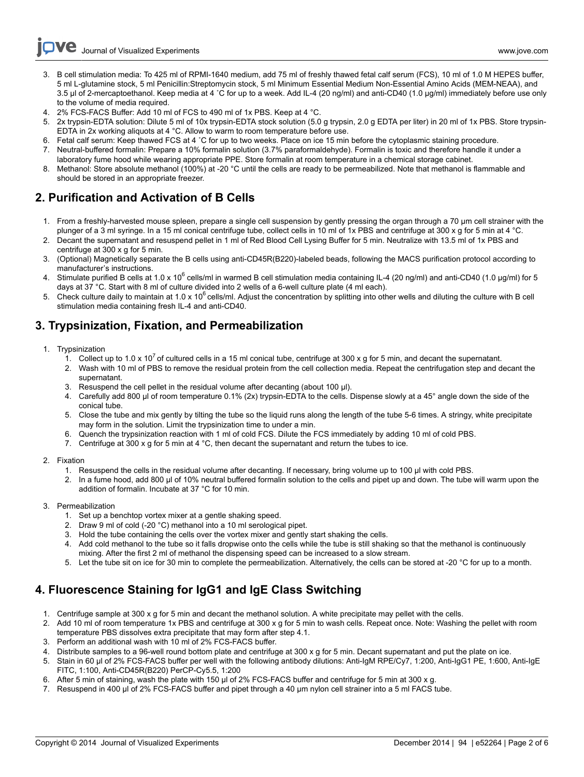Journal of Visualized [Experiments](http://www.jove.com) [www.jove.com](http://www.jove.com)

- 3. B cell stimulation media: To 425 ml of RPMI-1640 medium, add 75 ml of freshly thawed fetal calf serum (FCS), 10 ml of 1.0 M HEPES buffer, 5 ml L-glutamine stock, 5 ml Penicillin:Streptomycin stock, 5 ml Minimum Essential Medium Non-Essential Amino Acids (MEM-NEAA), and 3.5 µl of 2-mercaptoethanol. Keep media at 4 °C for up to a week. Add IL-4 (20 ng/ml) and anti-CD40 (1.0 µg/ml) immediately before use only to the volume of media required.
- 4. 2% FCS-FACS Buffer: Add 10 ml of FCS to 490 ml of 1x PBS. Keep at 4 °C.
- 5. 2x trypsin-EDTA solution: Dilute 5 ml of 10x trypsin-EDTA stock solution (5.0 g trypsin, 2.0 g EDTA per liter) in 20 ml of 1x PBS. Store trypsin-EDTA in 2x working aliquots at 4 °C. Allow to warm to room temperature before use.
- 6. Fetal calf serum: Keep thawed FCS at 4 ˚C for up to two weeks. Place on ice 15 min before the cytoplasmic staining procedure.
- 7. Neutral-buffered formalin: Prepare a 10% formalin solution (3.7% paraformaldehyde). Formalin is toxic and therefore handle it under a laboratory fume hood while wearing appropriate PPE. Store formalin at room temperature in a chemical storage cabinet.
- 8. Methanol: Store absolute methanol (100%) at -20 °C until the cells are ready to be permeabilized. Note that methanol is flammable and should be stored in an appropriate freezer.

## **2. Purification and Activation of B Cells**

- 1. From a freshly-harvested mouse spleen, prepare a single cell suspension by gently pressing the organ through a 70 µm cell strainer with the plunger of a 3 ml syringe. In a 15 ml conical centrifuge tube, collect cells in 10 ml of 1x PBS and centrifuge at 300 x q for 5 min at 4 °C.
- 2. Decant the supernatant and resuspend pellet in 1 ml of Red Blood Cell Lysing Buffer for 5 min. Neutralize with 13.5 ml of 1x PBS and centrifuge at 300 x g for 5 min.
- 3. (Optional) Magnetically separate the B cells using anti-CD45R(B220)-labeled beads, following the MACS purification protocol according to manufacturer's instructions.
- 4. Stimulate purified B cells at 1.0 x 10<sup>6</sup> cells/ml in warmed B cell stimulation media containing IL-4 (20 ng/ml) and anti-CD40 (1.0 µg/ml) for 5 days at 37 °C. Start with 8 ml of culture divided into 2 wells of a 6-well culture plate (4 ml each).
- 5. Check culture daily to maintain at 1.0 x 10<sup>6</sup> cells/ml. Adjust the concentration by splitting into other wells and diluting the culture with B cell stimulation media containing fresh IL-4 and anti-CD40.

### **3. Trypsinization, Fixation, and Permeabilization**

- 1. Trypsinization
	- 1. Collect up to 1.0 x 10<sup>7</sup> of cultured cells in a 15 ml conical tube, centrifuge at 300 x q for 5 min, and decant the supernatant.
	- 2. Wash with 10 ml of PBS to remove the residual protein from the cell collection media. Repeat the centrifugation step and decant the supernatant.
	- 3. Resuspend the cell pellet in the residual volume after decanting (about 100 μl).
	- 4. Carefully add 800 μl of room temperature 0.1% (2x) trypsin-EDTA to the cells. Dispense slowly at a 45° angle down the side of the conical tube.
	- 5. Close the tube and mix gently by tilting the tube so the liquid runs along the length of the tube 5-6 times. A stringy, white precipitate may form in the solution. Limit the trypsinization time to under a min.
	- 6. Quench the trypsinization reaction with 1 ml of cold FCS. Dilute the FCS immediately by adding 10 ml of cold PBS.
	- 7. Centrifuge at 300 x g for 5 min at 4 °C, then decant the supernatant and return the tubes to ice.
- 2. Fixation
	- 1. Resuspend the cells in the residual volume after decanting. If necessary, bring volume up to 100 μl with cold PBS.
	- 2. In a fume hood, add 800 μl of 10% neutral buffered formalin solution to the cells and pipet up and down. The tube will warm upon the addition of formalin. Incubate at 37 °C for 10 min.
- 3. Permeabilization
	- 1. Set up a benchtop vortex mixer at a gentle shaking speed.
	- 2. Draw 9 ml of cold (-20 °C) methanol into a 10 ml serological pipet.
	- 3. Hold the tube containing the cells over the vortex mixer and gently start shaking the cells.
	- 4. Add cold methanol to the tube so it falls dropwise onto the cells while the tube is still shaking so that the methanol is continuously mixing. After the first 2 ml of methanol the dispensing speed can be increased to a slow stream.
	- 5. Let the tube sit on ice for 30 min to complete the permeabilization. Alternatively, the cells can be stored at -20 °C for up to a month.

## **4. Fluorescence Staining for IgG1 and IgE Class Switching**

- 1. Centrifuge sample at 300 x g for 5 min and decant the methanol solution. A white precipitate may pellet with the cells.
- 2. Add 10 ml of room temperature 1x PBS and centrifuge at 300 x g for 5 min to wash cells. Repeat once. Note: Washing the pellet with room temperature PBS dissolves extra precipitate that may form after step 4.1.
- 3. Perform an additional wash with 10 ml of 2% FCS-FACS buffer.
- 4. Distribute samples to a 96-well round bottom plate and centrifuge at 300 x g for 5 min. Decant supernatant and put the plate on ice.
- 5. Stain in 60 µl of 2% FCS-FACS buffer per well with the following antibody dilutions: Anti-IgM RPE/Cy7, 1:200, Anti-IgG1 PE, 1:600, Anti-IgE FITC, 1:100, Anti-CD45R(B220) PerCP-Cy5.5, 1:200
- 6. After 5 min of staining, wash the plate with 150 µl of 2% FCS-FACS buffer and centrifuge for 5 min at 300 x g.
- 7. Resuspend in 400 µl of 2% FCS-FACS buffer and pipet through a 40 µm nylon cell strainer into a 5 ml FACS tube.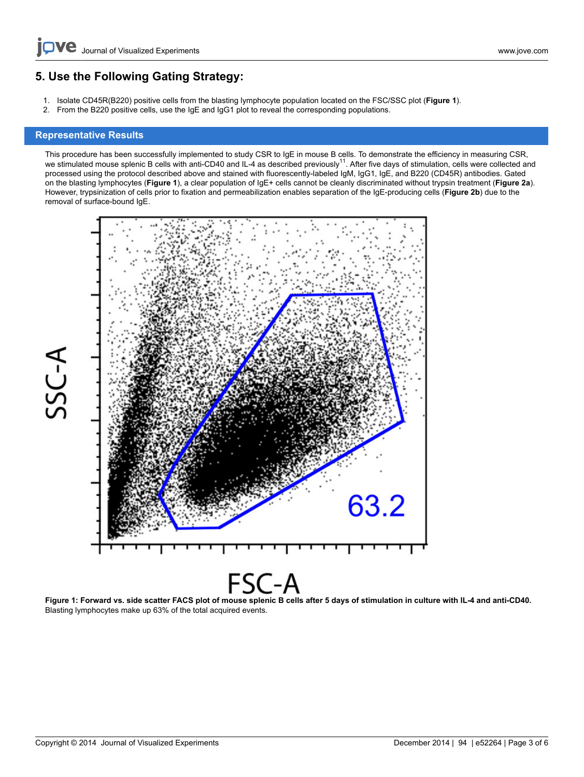# **5. Use the Following Gating Strategy:**

- 1. Isolate CD45R(B220) positive cells from the blasting lymphocyte population located on the FSC/SSC plot (**Figure 1**).
- 2. From the B220 positive cells, use the IgE and IgG1 plot to reveal the corresponding populations.

### **Representative Results**

This procedure has been successfully implemented to study CSR to IgE in mouse B cells. To demonstrate the efficiency in measuring CSR, we stimulated mouse splenic B cells with anti-CD40 and IL-4 as described previously<sup>11</sup>. After five days of stimulation, cells were collected and processed using the protocol described above and stained with fluorescently-labeled IgM, IgG1, IgE, and B220 (CD45R) antibodies. Gated on the blasting lymphocytes (**Figure 1**), a clear population of IgE+ cells cannot be cleanly discriminated without trypsin treatment (**Figure 2a**). However, trypsinization of cells prior to fixation and permeabilization enables separation of the IgE-producing cells (**Figure 2b**) due to the removal of surface-bound IgE.



Figure 1: Forward vs. side scatter FACS plot of mouse splenic B cells after 5 days of stimulation in culture with IL-4 and anti-CD40. Blasting lymphocytes make up 63% of the total acquired events.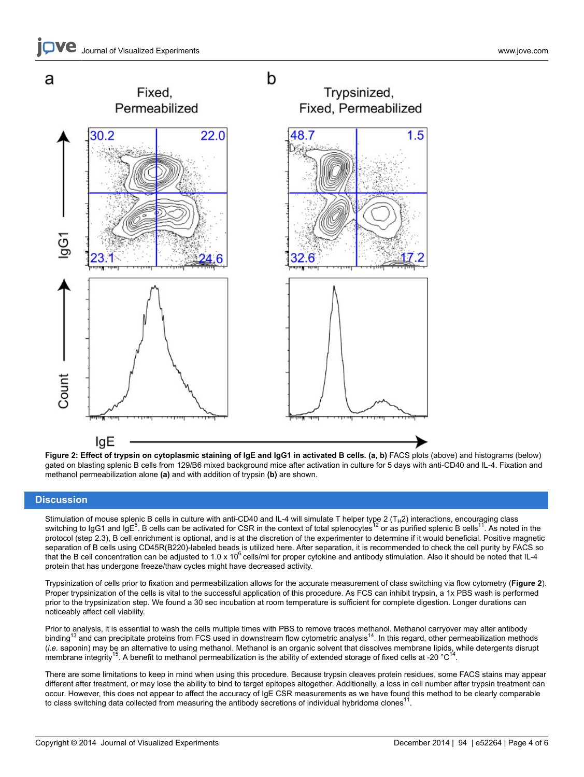

**Figure 2: Effect of trypsin on cytoplasmic staining of IgE and IgG1 in activated B cells. (a, b)** FACS plots (above) and histograms (below) gated on blasting splenic B cells from 129/B6 mixed background mice after activation in culture for 5 days with anti-CD40 and IL-4. Fixation and methanol permeabilization alone **(a)** and with addition of trypsin **(b)** are shown.

### **Discussion**

Stimulation of mouse splenic B cells in culture with anti-CD40 and IL-4 will simulate T helper type 2 (T<sub>H</sub>2) interactions, encouraging class<br>switching to IgG1 and IgE<sup>5</sup>. B cells can be activated for CSR in the context of protocol (step 2.3), B cell enrichment is optional, and is at the discretion of the experimenter to determine if it would beneficial. Positive magnetic separation of B cells using CD45R(B220)-labeled beads is utilized here. After separation, it is recommended to check the cell purity by FACS so that the B cell concentration can be adjusted to  $1.0 \times 10^6$  cells/ml for proper cytokine and antibody stimulation. Also it should be noted that IL-4 protein that has undergone freeze/thaw cycles might have decreased activity.

Trypsinization of cells prior to fixation and permeabilization allows for the accurate measurement of class switching via flow cytometry (**Figure 2**). Proper trypsinization of the cells is vital to the successful application of this procedure. As FCS can inhibit trypsin, a 1x PBS wash is performed prior to the trypsinization step. We found a 30 sec incubation at room temperature is sufficient for complete digestion. Longer durations can noticeably affect cell viability.

Prior to analysis, it is essential to wash the cells multiple times with PBS to remove traces methanol. Methanol carryover may alter antibody binding<sup>13</sup> and can precipitate proteins from FCS used in downstream flow cytometric analysis<sup>14</sup>. In this regard, other permeabilization methods (*i.e.* saponin) may be an alternative to using methanol. Methanol is an organic solvent that dissolves membrane lipids, while detergents disrupt membrane integrity<sup>15</sup>. A benefit to methanol permeabilization is the ability of extended storage of fixed cells at -20  $^{\circ}$ C<sup>14</sup>.

There are some limitations to keep in mind when using this procedure. Because trypsin cleaves protein residues, some FACS stains may appear different after treatment, or may lose the ability to bind to target epitopes altogether. Additionally, a loss in cell number after trypsin treatment can occur. However, this does not appear to affect the accuracy of IgE CSR measurements as we have found this method to be clearly comparable to class switching data collected from measuring the antibody secretions of individual hybridoma clones<sup>1</sup> .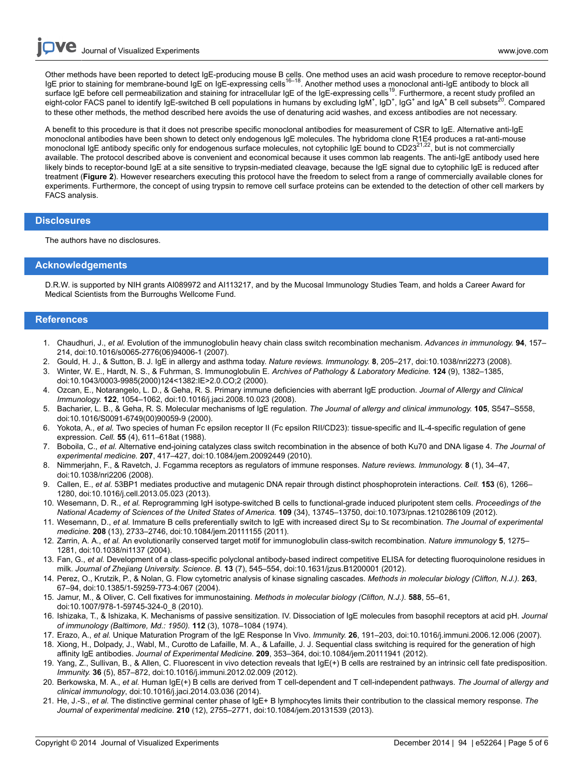Other methods have been reported to detect IgE-producing mouse B cells. One method uses an acid wash procedure to remove receptor-bound<br>IgE prior to staining for membrane-bound IgE on IgE-expressing cells<sup>16–18</sup>. Another surface IgE before cell permeabilization and staining for intracellular IgE of the IgE-expressing cells<sup>19</sup>. Furthermore, a recent study profiled an eight-color FACS panel to identify IgE-switched B cell populations in humans by excluding IgM<sup>+</sup>, IgD<sup>+</sup>, IgG<sup>+</sup> and IgA<sup>+</sup> B cell subsets<sup>20</sup>. Compared to these other methods, the method described here avoids the use of denaturing acid washes, and excess antibodies are not necessary.

A benefit to this procedure is that it does not prescribe specific monoclonal antibodies for measurement of CSR to IgE. Alternative anti-IgE monoclonal antibodies have been shown to detect only endogenous IgE molecules. The hybridoma clone R1E4 produces a rat-anti-mouse<br>monoclonal IgE antibody specific only for endogenous surface molecules, not cytophilic IgE b available. The protocol described above is convenient and economical because it uses common lab reagents. The anti-IgE antibody used here likely binds to receptor-bound IgE at a site sensitive to trypsin-mediated cleavage, because the IgE signal due to cytophilic IgE is reduced after treatment (**Figure 2**). However researchers executing this protocol have the freedom to select from a range of commercially available clones for experiments. Furthermore, the concept of using trypsin to remove cell surface proteins can be extended to the detection of other cell markers by FACS analysis.

### **Disclosures**

The authors have no disclosures.

### **Acknowledgements**

D.R.W. is supported by NIH grants AI089972 and AI113217, and by the Mucosal Immunology Studies Team, and holds a Career Award for Medical Scientists from the Burroughs Wellcome Fund.

### **References**

- 1. Chaudhuri, J., *et al.* Evolution of the immunoglobulin heavy chain class switch recombination mechanism. *Advances in immunology.* **94**, 157– 214, doi:10.1016/s0065-2776(06)94006-1 (2007).
- 2. Gould, H. J., & Sutton, B. J. IgE in allergy and asthma today. *Nature reviews. Immunology.* **8**, 205–217, doi:10.1038/nri2273 (2008).
- 3. Winter, W. E., Hardt, N. S., & Fuhrman, S. Immunoglobulin E. *Archives of Pathology & Laboratory Medicine.* **124** (9), 1382–1385, doi:10.1043/0003-9985(2000)124<1382:IE>2.0.CO;2 (2000).
- 4. Ozcan, E., Notarangelo, L. D., & Geha, R. S. Primary immune deficiencies with aberrant IgE production. *Journal of Allergy and Clinical Immunology.* **122**, 1054–1062, doi:10.1016/j.jaci.2008.10.023 (2008).
- 5. Bacharier, L. B., & Geha, R. S. Molecular mechanisms of IgE regulation. *The Journal of allergy and clinical immunology.* **105**, S547–S558, doi:10.1016/S0091-6749(00)90059-9 (2000).
- 6. Yokota, A., *et al.* Two species of human Fc epsilon receptor II (Fc epsilon RII/CD23): tissue-specific and IL-4-specific regulation of gene expression. *Cell.* **55** (4), 611–618at (1988).
- 7. Boboila, C., *et al.* Alternative end-joining catalyzes class switch recombination in the absence of both Ku70 and DNA ligase 4. *The Journal of experimental medicine.* **207**, 417–427, doi:10.1084/jem.20092449 (2010).
- 8. Nimmerjahn, F., & Ravetch, J. Fcgamma receptors as regulators of immune responses. *Nature reviews. Immunology.* **8** (1), 34–47, doi:10.1038/nri2206 (2008).
- 9. Callen, E., *et al.* 53BP1 mediates productive and mutagenic DNA repair through distinct phosphoprotein interactions. *Cell.* **153** (6), 1266– 1280, doi:10.1016/j.cell.2013.05.023 (2013).
- 10. Wesemann, D. R., *et al.* Reprogramming IgH isotype-switched B cells to functional-grade induced pluripotent stem cells. *Proceedings of the National Academy of Sciences of the United States of America.* **109** (34), 13745–13750, doi:10.1073/pnas.1210286109 (2012).
- 11. Wesemann, D., *et al.* Immature B cells preferentially switch to IgE with increased direct Sµ to Sε recombination. *The Journal of experimental medicine.* **208** (13), 2733–2746, doi:10.1084/jem.20111155 (2011).
- 12. Zarrin, A. A., *et al.* An evolutionarily conserved target motif for immunoglobulin class-switch recombination. *Nature immunology* **5**, 1275– 1281, doi:10.1038/ni1137 (2004).
- 13. Fan, G., *et al.* Development of a class-specific polyclonal antibody-based indirect competitive ELISA for detecting fluoroquinolone residues in milk. *Journal of Zhejiang University. Science. B.* **13** (7), 545–554, doi:10.1631/jzus.B1200001 (2012).
- 14. Perez, O., Krutzik, P., & Nolan, G. Flow cytometric analysis of kinase signaling cascades. *Methods in molecular biology (Clifton, N.J.).* **263**, 67–94, doi:10.1385/1-59259-773-4:067 (2004).
- 15. Jamur, M., & Oliver, C. Cell fixatives for immunostaining. *Methods in molecular biology (Clifton, N.J.).* **588**, 55–61, doi:10.1007/978-1-59745-324-0\_8 (2010).
- 16. Ishizaka, T., & Ishizaka, K. Mechanisms of passive sensitization. IV. Dissociation of IgE molecules from basophil receptors at acid pH. *Journal of immunology (Baltimore, Md.: 1950).* **112** (3), 1078–1084 (1974).
- 17. Erazo, A., *et al.* Unique Maturation Program of the IgE Response In Vivo. *Immunity.* **26**, 191–203, doi:10.1016/j.immuni.2006.12.006 (2007).
- 18. Xiong, H., Dolpady, J., Wabl, M., Curotto de Lafaille, M. A., & Lafaille, J. J. Sequential class switching is required for the generation of high affinity IgE antibodies. *Journal of Experimental Medicine.* **209**, 353–364, doi:10.1084/jem.20111941 (2012).
- 19. Yang, Z., Sullivan, B., & Allen, C. Fluorescent in vivo detection reveals that IgE(+) B cells are restrained by an intrinsic cell fate predisposition. *Immunity.* **36** (5), 857–872, doi:10.1016/j.immuni.2012.02.009 (2012).
- 20. Berkowska, M. A., *et al.* Human IgE(+) B cells are derived from T cell-dependent and T cell-independent pathways. *The Journal of allergy and clinical immunology*, doi:10.1016/j.jaci.2014.03.036 (2014).
- 21. He, J.-S., *et al.* The distinctive germinal center phase of IgE+ B lymphocytes limits their contribution to the classical memory response. *The Journal of experimental medicine.* **210** (12), 2755–2771, doi:10.1084/jem.20131539 (2013).